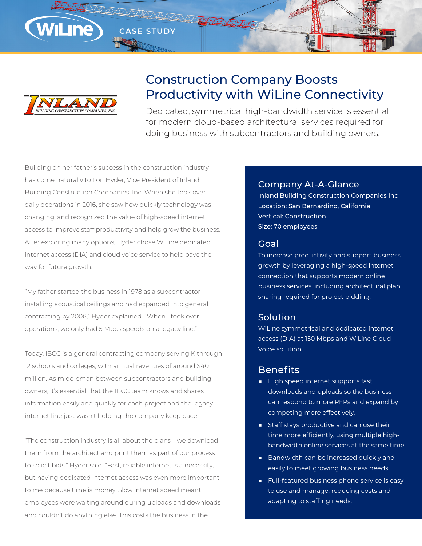

# Construction Company Boosts Productivity with WiLine Connectivity

Dedicated, symmetrical high-bandwidth service is essential for modern cloud-based architectural services required for doing business with subcontractors and building owners.

Building on her father's success in the construction industry has come naturally to Lori Hyder, Vice President of Inland Building Construction Companies, Inc. When she took over daily operations in 2016, she saw how quickly technology was changing, and recognized the value of high-speed internet access to improve staff productivity and help grow the business. After exploring many options, Hyder chose WiLine dedicated internet access (DIA) and cloud voice service to help pave the way for future growth.

**CASE STUDY**

"My father started the business in 1978 as a subcontractor installing acoustical ceilings and had expanded into general contracting by 2006," Hyder explained. "When I took over operations, we only had 5 Mbps speeds on a legacy line."

Today, IBCC is a general contracting company serving K through 12 schools and colleges, with annual revenues of around \$40 million. As middleman between subcontractors and building owners, it's essential that the IBCC team knows and shares information easily and quickly for each project and the legacy internet line just wasn't helping the company keep pace.

"The construction industry is all about the plans—we download them from the architect and print them as part of our process to solicit bids," Hyder said. "Fast, reliable internet is a necessity, but having dedicated internet access was even more important to me because time is money. Slow internet speed meant employees were waiting around during uploads and downloads and couldn't do anything else. This costs the business in the

## Company At-A-Glance

Inland Building Construction Companies Inc Location: San Bernardino, California Vertical: Construction Size: 70 employees

#### Goal

To increase productivity and support business growth by leveraging a high-speed internet connection that supports modern online business services, including architectural plan sharing required for project bidding.

### Solution

WiLine symmetrical and dedicated internet access (DIA) at 150 Mbps and WiLine Cloud Voice solution.

## **Benefits**

- High speed internet supports fast downloads and uploads so the business can respond to more RFPs and expand by competing more effectively.
- Staff stays productive and can use their time more efficiently, using multiple highbandwidth online services at the same time.
- Bandwidth can be increased quickly and easily to meet growing business needs.
- Full-featured business phone service is easy to use and manage, reducing costs and adapting to staffing needs.